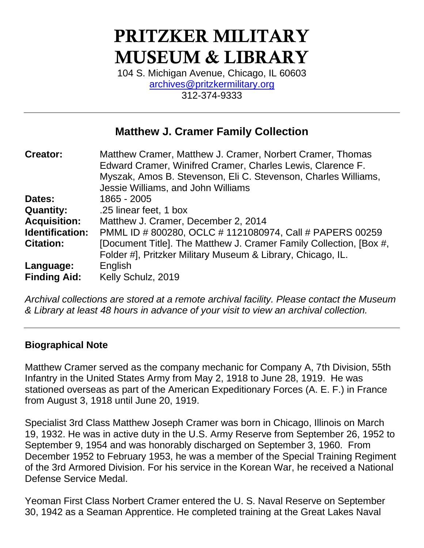# PRITZKER MILITARY MUSEUM & LIBRARY

104 S. Michigan Avenue, Chicago, IL 60603 [archives@pritzkermilitary.org](mailto:archives@pritzkermilitary.org) 312-374-9333

# **Matthew J. Cramer Family Collection**

| <b>Creator:</b>     | Matthew Cramer, Matthew J. Cramer, Norbert Cramer, Thomas          |
|---------------------|--------------------------------------------------------------------|
|                     | Edward Cramer, Winifred Cramer, Charles Lewis, Clarence F.         |
|                     | Myszak, Amos B. Stevenson, Eli C. Stevenson, Charles Williams,     |
|                     | Jessie Williams, and John Williams                                 |
| Dates:              | 1865 - 2005                                                        |
| <b>Quantity:</b>    | .25 linear feet, 1 box                                             |
| <b>Acquisition:</b> | Matthew J. Cramer, December 2, 2014                                |
| Identification:     | PMML ID # 800280, OCLC # 1121080974, Call # PAPERS 00259           |
| <b>Citation:</b>    | [Document Title]. The Matthew J. Cramer Family Collection, [Box #, |
|                     | Folder #], Pritzker Military Museum & Library, Chicago, IL.        |
| Language:           | English                                                            |
| <b>Finding Aid:</b> | Kelly Schulz, 2019                                                 |

*Archival collections are stored at a remote archival facility. Please contact the Museum & Library at least 48 hours in advance of your visit to view an archival collection.*

## **Biographical Note**

Matthew Cramer served as the company mechanic for Company A, 7th Division, 55th Infantry in the United States Army from May 2, 1918 to June 28, 1919. He was stationed overseas as part of the American Expeditionary Forces (A. E. F.) in France from August 3, 1918 until June 20, 1919.

Specialist 3rd Class Matthew Joseph Cramer was born in Chicago, Illinois on March 19, 1932. He was in active duty in the U.S. Army Reserve from September 26, 1952 to September 9, 1954 and was honorably discharged on September 3, 1960. From December 1952 to February 1953, he was a member of the Special Training Regiment of the 3rd Armored Division. For his service in the Korean War, he received a National Defense Service Medal.

Yeoman First Class Norbert Cramer entered the U. S. Naval Reserve on September 30, 1942 as a Seaman Apprentice. He completed training at the Great Lakes Naval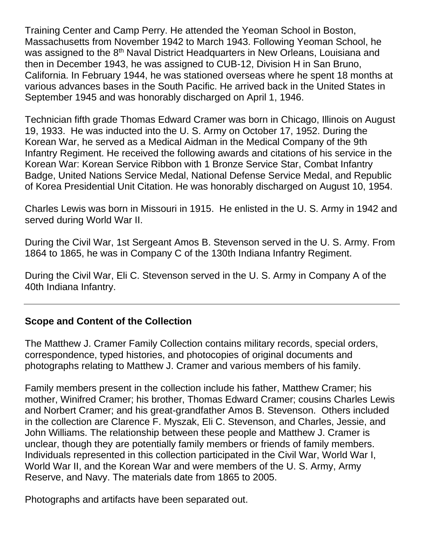Training Center and Camp Perry. He attended the Yeoman School in Boston, Massachusetts from November 1942 to March 1943. Following Yeoman School, he was assigned to the 8<sup>th</sup> Naval District Headquarters in New Orleans, Louisiana and then in December 1943, he was assigned to CUB-12, Division H in San Bruno, California. In February 1944, he was stationed overseas where he spent 18 months at various advances bases in the South Pacific. He arrived back in the United States in September 1945 and was honorably discharged on April 1, 1946.

Technician fifth grade Thomas Edward Cramer was born in Chicago, Illinois on August 19, 1933. He was inducted into the U. S. Army on October 17, 1952. During the Korean War, he served as a Medical Aidman in the Medical Company of the 9th Infantry Regiment. He received the following awards and citations of his service in the Korean War: Korean Service Ribbon with 1 Bronze Service Star, Combat Infantry Badge, United Nations Service Medal, National Defense Service Medal, and Republic of Korea Presidential Unit Citation. He was honorably discharged on August 10, 1954.

Charles Lewis was born in Missouri in 1915. He enlisted in the U. S. Army in 1942 and served during World War II.

During the Civil War, 1st Sergeant Amos B. Stevenson served in the U. S. Army. From 1864 to 1865, he was in Company C of the 130th Indiana Infantry Regiment.

During the Civil War, Eli C. Stevenson served in the U. S. Army in Company A of the 40th Indiana Infantry.

## **Scope and Content of the Collection**

The Matthew J. Cramer Family Collection contains military records, special orders, correspondence, typed histories, and photocopies of original documents and photographs relating to Matthew J. Cramer and various members of his family.

Family members present in the collection include his father, Matthew Cramer; his mother, Winifred Cramer; his brother, Thomas Edward Cramer; cousins Charles Lewis and Norbert Cramer; and his great-grandfather Amos B. Stevenson. Others included in the collection are Clarence F. Myszak, Eli C. Stevenson, and Charles, Jessie, and John Williams. The relationship between these people and Matthew J. Cramer is unclear, though they are potentially family members or friends of family members. Individuals represented in this collection participated in the Civil War, World War I, World War II, and the Korean War and were members of the U. S. Army, Army Reserve, and Navy. The materials date from 1865 to 2005.

Photographs and artifacts have been separated out.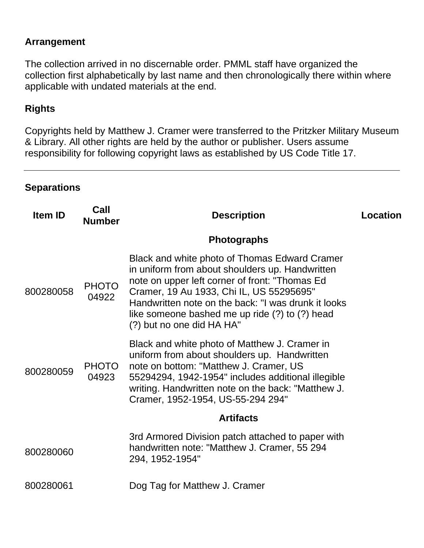## **Arrangement**

The collection arrived in no discernable order. PMML staff have organized the collection first alphabetically by last name and then chronologically there within where applicable with undated materials at the end.

## **Rights**

Copyrights held by Matthew J. Cramer were transferred to the Pritzker Military Museum & Library. All other rights are held by the author or publisher. Users assume responsibility for following copyright laws as established by US Code Title 17.

## **Separations**

| <b>Item ID</b> | Call<br><b>Number</b> | <b>Description</b>                                                                                                                                                                                                                                                                                                                   | Location |
|----------------|-----------------------|--------------------------------------------------------------------------------------------------------------------------------------------------------------------------------------------------------------------------------------------------------------------------------------------------------------------------------------|----------|
|                |                       | <b>Photographs</b>                                                                                                                                                                                                                                                                                                                   |          |
| 800280058      | <b>PHOTO</b><br>04922 | Black and white photo of Thomas Edward Cramer<br>in uniform from about shoulders up. Handwritten<br>note on upper left corner of front: "Thomas Ed<br>Cramer, 19 Au 1933, Chi IL, US 55295695"<br>Handwritten note on the back: "I was drunk it looks<br>like someone bashed me up ride (?) to (?) head<br>(?) but no one did HA HA" |          |
| 800280059      | <b>PHOTO</b><br>04923 | Black and white photo of Matthew J. Cramer in<br>uniform from about shoulders up. Handwritten<br>note on bottom: "Matthew J. Cramer, US<br>55294294, 1942-1954" includes additional illegible<br>writing. Handwritten note on the back: "Matthew J.<br>Cramer, 1952-1954, US-55-294 294"                                             |          |
|                |                       | <b>Artifacts</b>                                                                                                                                                                                                                                                                                                                     |          |
| 800280060      |                       | 3rd Armored Division patch attached to paper with<br>handwritten note: "Matthew J. Cramer, 55 294<br>294, 1952-1954"                                                                                                                                                                                                                 |          |
| 800280061      |                       | Dog Tag for Matthew J. Cramer                                                                                                                                                                                                                                                                                                        |          |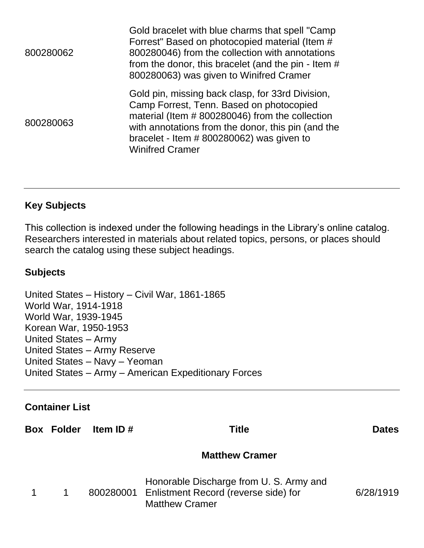| 800280062 | Gold bracelet with blue charms that spell "Camp<br>Forrest" Based on photocopied material (Item #<br>800280046) from the collection with annotations<br>from the donor, this bracelet (and the pin - Item #<br>800280063) was given to Winifred Cramer                         |
|-----------|--------------------------------------------------------------------------------------------------------------------------------------------------------------------------------------------------------------------------------------------------------------------------------|
| 800280063 | Gold pin, missing back clasp, for 33rd Division,<br>Camp Forrest, Tenn. Based on photocopied<br>material (Item # 800280046) from the collection<br>with annotations from the donor, this pin (and the<br>bracelet - Item $#800280062$ ) was given to<br><b>Winifred Cramer</b> |

## **Key Subjects**

This collection is indexed under the following headings in the Library's online catalog. Researchers interested in materials about related topics, persons, or places should search the catalog using these subject headings.

## **Subjects**

United States – History – Civil War, 1861-1865 World War, 1914-1918 World War, 1939-1945 Korean War, 1950-1953 United States – Army United States – Army Reserve United States – Navy – Yeoman United States – Army – American Expeditionary Forces

## **Container List**

**Box Folder Item ID # Title Dates**

## **Matthew Cramer**

|  | Honorable Discharge from U. S. Army and        |           |
|--|------------------------------------------------|-----------|
|  | 800280001 Enlistment Record (reverse side) for | 6/28/1919 |
|  | <b>Matthew Cramer</b>                          |           |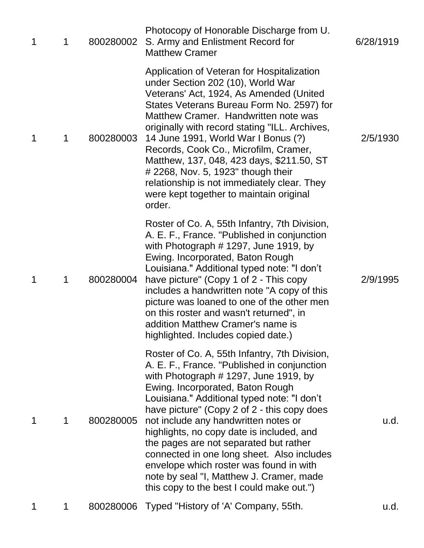| 1 | 1 | 800280002 | Photocopy of Honorable Discharge from U.<br>S. Army and Enlistment Record for<br><b>Matthew Cramer</b>                                                                                                                                                                                                                                                                                                                                                                                                                                                                                     | 6/28/1919 |
|---|---|-----------|--------------------------------------------------------------------------------------------------------------------------------------------------------------------------------------------------------------------------------------------------------------------------------------------------------------------------------------------------------------------------------------------------------------------------------------------------------------------------------------------------------------------------------------------------------------------------------------------|-----------|
| 1 | 1 | 800280003 | Application of Veteran for Hospitalization<br>under Section 202 (10), World War<br>Veterans' Act, 1924, As Amended (United<br>States Veterans Bureau Form No. 2597) for<br>Matthew Cramer. Handwritten note was<br>originally with record stating "ILL. Archives,<br>14 June 1991, World War I Bonus (?)<br>Records, Cook Co., Microfilm, Cramer,<br>Matthew, 137, 048, 423 days, \$211.50, ST<br># 2268, Nov. 5, 1923" though their<br>relationship is not immediately clear. They<br>were kept together to maintain original<br>order.                                                   | 2/5/1930  |
| 1 | 1 | 800280004 | Roster of Co. A, 55th Infantry, 7th Division,<br>A. E. F., France. "Published in conjunction<br>with Photograph $#$ 1297, June 1919, by<br>Ewing. Incorporated, Baton Rough<br>Louisiana." Additional typed note: "I don't<br>have picture" (Copy 1 of 2 - This copy<br>includes a handwritten note "A copy of this<br>picture was loaned to one of the other men<br>on this roster and wasn't returned", in<br>addition Matthew Cramer's name is<br>highlighted. Includes copied date.)                                                                                                   | 2/9/1995  |
| 1 | 1 | 800280005 | Roster of Co. A, 55th Infantry, 7th Division,<br>A. E. F., France. "Published in conjunction<br>with Photograph $#$ 1297, June 1919, by<br>Ewing. Incorporated, Baton Rough<br>Louisiana." Additional typed note: "I don't<br>have picture" (Copy 2 of 2 - this copy does<br>not include any handwritten notes or<br>highlights, no copy date is included, and<br>the pages are not separated but rather<br>connected in one long sheet. Also includes<br>envelope which roster was found in with<br>note by seal "I, Matthew J. Cramer, made<br>this copy to the best I could make out.") | u.d.      |
| 1 |   |           | 800280006 Typed "History of 'A' Company, 55th.                                                                                                                                                                                                                                                                                                                                                                                                                                                                                                                                             | u.d.      |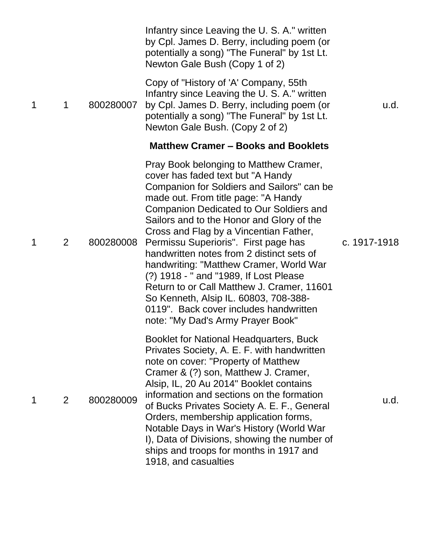|   |                |           | Infantry since Leaving the U.S. A." written<br>by Cpl. James D. Berry, including poem (or<br>potentially a song) "The Funeral" by 1st Lt.<br>Newton Gale Bush (Copy 1 of 2)                                                                                                                                                                                                                                                                                                                                                                                                                                                                               |              |
|---|----------------|-----------|-----------------------------------------------------------------------------------------------------------------------------------------------------------------------------------------------------------------------------------------------------------------------------------------------------------------------------------------------------------------------------------------------------------------------------------------------------------------------------------------------------------------------------------------------------------------------------------------------------------------------------------------------------------|--------------|
| 1 | 1              | 800280007 | Copy of "History of 'A' Company, 55th<br>Infantry since Leaving the U.S. A." written<br>by Cpl. James D. Berry, including poem (or<br>potentially a song) "The Funeral" by 1st Lt.<br>Newton Gale Bush. (Copy 2 of 2)                                                                                                                                                                                                                                                                                                                                                                                                                                     | u.d.         |
|   |                |           | <b>Matthew Cramer – Books and Booklets</b>                                                                                                                                                                                                                                                                                                                                                                                                                                                                                                                                                                                                                |              |
| 1 | $\overline{2}$ | 800280008 | Pray Book belonging to Matthew Cramer,<br>cover has faded text but "A Handy<br>Companion for Soldiers and Sailors" can be<br>made out. From title page: "A Handy<br><b>Companion Dedicated to Our Soldiers and</b><br>Sailors and to the Honor and Glory of the<br>Cross and Flag by a Vincentian Father,<br>Permissu Superioris". First page has<br>handwritten notes from 2 distinct sets of<br>handwriting: "Matthew Cramer, World War<br>(?) 1918 - " and "1989, If Lost Please<br>Return to or Call Matthew J. Cramer, 11601<br>So Kenneth, Alsip IL. 60803, 708-388-<br>0119". Back cover includes handwritten<br>note: "My Dad's Army Prayer Book" | c. 1917-1918 |
| 1 | $\overline{2}$ | 800280009 | Booklet for National Headquarters, Buck<br>Privates Society, A. E. F. with handwritten<br>note on cover: "Property of Matthew<br>Cramer & (?) son, Matthew J. Cramer,<br>Alsip, IL, 20 Au 2014" Booklet contains<br>information and sections on the formation<br>of Bucks Privates Society A. E. F., General<br>Orders, membership application forms,<br>Notable Days in War's History (World War<br>I), Data of Divisions, showing the number of<br>ships and troops for months in 1917 and<br>1918, and casualties                                                                                                                                      | u.d.         |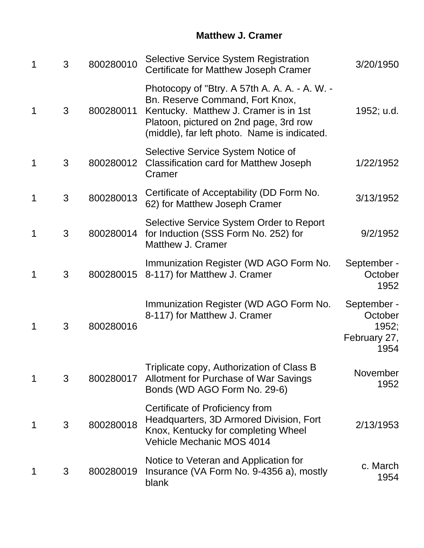## **Matthew J. Cramer**

| 1 | 3 | 800280010 | <b>Selective Service System Registration</b><br>Certificate for Matthew Joseph Cramer                                                                                                                               | 3/20/1950                                               |
|---|---|-----------|---------------------------------------------------------------------------------------------------------------------------------------------------------------------------------------------------------------------|---------------------------------------------------------|
| 1 | 3 | 800280011 | Photocopy of "Btry. A 57th A. A. A. - A. W. -<br>Bn. Reserve Command, Fort Knox,<br>Kentucky. Matthew J. Cramer is in 1st<br>Platoon, pictured on 2nd page, 3rd row<br>(middle), far left photo. Name is indicated. | 1952; u.d.                                              |
| 1 | 3 | 800280012 | Selective Service System Notice of<br><b>Classification card for Matthew Joseph</b><br>Cramer                                                                                                                       | 1/22/1952                                               |
| 1 | 3 | 800280013 | Certificate of Acceptability (DD Form No.<br>62) for Matthew Joseph Cramer                                                                                                                                          | 3/13/1952                                               |
| 1 | 3 | 800280014 | Selective Service System Order to Report<br>for Induction (SSS Form No. 252) for<br>Matthew J. Cramer                                                                                                               | 9/2/1952                                                |
|   | 3 | 800280015 | Immunization Register (WD AGO Form No.<br>8-117) for Matthew J. Cramer                                                                                                                                              | September -<br>October<br>1952                          |
|   | 3 | 800280016 | Immunization Register (WD AGO Form No.<br>8-117) for Matthew J. Cramer                                                                                                                                              | September -<br>October<br>1952;<br>February 27,<br>1954 |
|   | 3 | 800280017 | Triplicate copy, Authorization of Class B<br>Allotment for Purchase of War Savings<br>Bonds (WD AGO Form No. 29-6)                                                                                                  | November<br>1952                                        |
| 1 | 3 | 800280018 | Certificate of Proficiency from<br>Headquarters, 3D Armored Division, Fort<br>Knox, Kentucky for completing Wheel<br>Vehicle Mechanic MOS 4014                                                                      | 2/13/1953                                               |
|   | 3 | 800280019 | Notice to Veteran and Application for<br>Insurance (VA Form No. 9-4356 a), mostly<br>blank                                                                                                                          | c. March<br>1954                                        |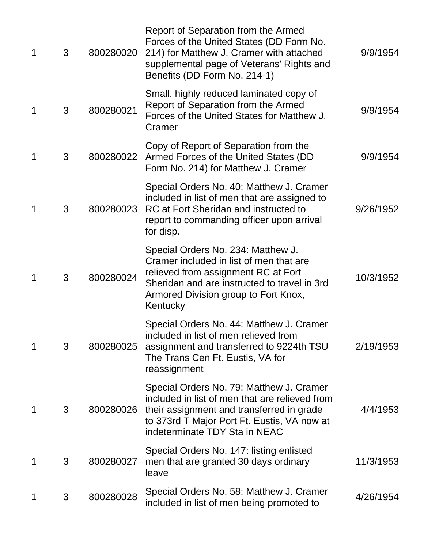| 1 | 3 | 800280020 | Report of Separation from the Armed<br>Forces of the United States (DD Form No.<br>214) for Matthew J. Cramer with attached<br>supplemental page of Veterans' Rights and<br>Benefits (DD Form No. 214-1)                 | 9/9/1954  |
|---|---|-----------|--------------------------------------------------------------------------------------------------------------------------------------------------------------------------------------------------------------------------|-----------|
| 1 | 3 | 800280021 | Small, highly reduced laminated copy of<br>Report of Separation from the Armed<br>Forces of the United States for Matthew J.<br>Cramer                                                                                   | 9/9/1954  |
| 1 | 3 | 800280022 | Copy of Report of Separation from the<br>Armed Forces of the United States (DD<br>Form No. 214) for Matthew J. Cramer                                                                                                    | 9/9/1954  |
| 1 | 3 | 800280023 | Special Orders No. 40: Matthew J. Cramer<br>included in list of men that are assigned to<br>RC at Fort Sheridan and instructed to<br>report to commanding officer upon arrival<br>for disp.                              | 9/26/1952 |
| 1 | 3 | 800280024 | Special Orders No. 234: Matthew J.<br>Cramer included in list of men that are<br>relieved from assignment RC at Fort<br>Sheridan and are instructed to travel in 3rd<br>Armored Division group to Fort Knox,<br>Kentucky | 10/3/1952 |
| 1 | 3 | 800280025 | Special Orders No. 44: Matthew J. Cramer<br>included in list of men relieved from<br>assignment and transferred to 9224th TSU<br>The Trans Cen Ft. Eustis, VA for<br>reassignment                                        | 2/19/1953 |
| 1 | 3 | 800280026 | Special Orders No. 79: Matthew J. Cramer<br>included in list of men that are relieved from<br>their assignment and transferred in grade<br>to 373rd T Major Port Ft. Eustis, VA now at<br>indeterminate TDY Sta in NEAC  | 4/4/1953  |
| 1 | 3 | 800280027 | Special Orders No. 147: listing enlisted<br>men that are granted 30 days ordinary<br>leave                                                                                                                               | 11/3/1953 |
|   | 3 | 800280028 | Special Orders No. 58: Matthew J. Cramer<br>included in list of men being promoted to                                                                                                                                    | 4/26/1954 |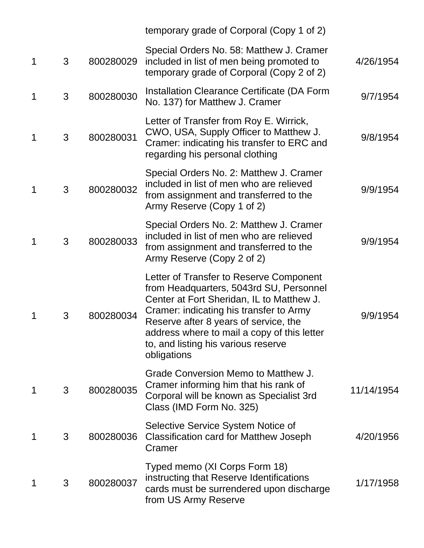|   |   |           | temporary grade of Corporal (Copy 1 of 2)                                                                                                                                                                                                                                                                                |            |
|---|---|-----------|--------------------------------------------------------------------------------------------------------------------------------------------------------------------------------------------------------------------------------------------------------------------------------------------------------------------------|------------|
| 1 | 3 | 800280029 | Special Orders No. 58: Matthew J. Cramer<br>included in list of men being promoted to<br>temporary grade of Corporal (Copy 2 of 2)                                                                                                                                                                                       | 4/26/1954  |
| 1 | 3 | 800280030 | Installation Clearance Certificate (DA Form<br>No. 137) for Matthew J. Cramer                                                                                                                                                                                                                                            | 9/7/1954   |
| 1 | 3 | 800280031 | Letter of Transfer from Roy E. Wirrick,<br>CWO, USA, Supply Officer to Matthew J.<br>Cramer: indicating his transfer to ERC and<br>regarding his personal clothing                                                                                                                                                       | 9/8/1954   |
| 1 | 3 | 800280032 | Special Orders No. 2: Matthew J. Cramer<br>included in list of men who are relieved<br>from assignment and transferred to the<br>Army Reserve (Copy 1 of 2)                                                                                                                                                              | 9/9/1954   |
| 1 | 3 | 800280033 | Special Orders No. 2: Matthew J. Cramer<br>included in list of men who are relieved<br>from assignment and transferred to the<br>Army Reserve (Copy 2 of 2)                                                                                                                                                              | 9/9/1954   |
| 1 | 3 | 800280034 | Letter of Transfer to Reserve Component<br>from Headquarters, 5043rd SU, Personnel<br>Center at Fort Sheridan, IL to Matthew J.<br>Cramer: indicating his transfer to Army<br>Reserve after 8 years of service, the<br>address where to mail a copy of this letter<br>to, and listing his various reserve<br>obligations | 9/9/1954   |
| 1 | 3 | 800280035 | Grade Conversion Memo to Matthew J.<br>Cramer informing him that his rank of<br>Corporal will be known as Specialist 3rd<br>Class (IMD Form No. 325)                                                                                                                                                                     | 11/14/1954 |
| 1 | 3 | 800280036 | Selective Service System Notice of<br><b>Classification card for Matthew Joseph</b><br>Cramer                                                                                                                                                                                                                            | 4/20/1956  |
| 1 | 3 | 800280037 | Typed memo (XI Corps Form 18)<br>instructing that Reserve Identifications<br>cards must be surrendered upon discharge<br>from US Army Reserve                                                                                                                                                                            | 1/17/1958  |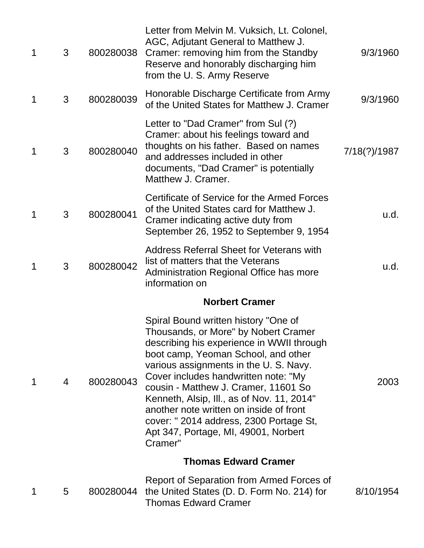| $\mathbf 1$ | 3 | 800280038 | Letter from Melvin M. Vuksich, Lt. Colonel,<br>AGC, Adjutant General to Matthew J.<br>Cramer: removing him from the Standby<br>Reserve and honorably discharging him<br>from the U.S. Army Reserve                                                                                                                                                                                                                                                                              | 9/3/1960     |
|-------------|---|-----------|---------------------------------------------------------------------------------------------------------------------------------------------------------------------------------------------------------------------------------------------------------------------------------------------------------------------------------------------------------------------------------------------------------------------------------------------------------------------------------|--------------|
| 1           | 3 | 800280039 | Honorable Discharge Certificate from Army<br>of the United States for Matthew J. Cramer                                                                                                                                                                                                                                                                                                                                                                                         | 9/3/1960     |
| 1           | 3 | 800280040 | Letter to "Dad Cramer" from Sul (?)<br>Cramer: about his feelings toward and<br>thoughts on his father. Based on names<br>and addresses included in other<br>documents, "Dad Cramer" is potentially<br>Matthew J. Cramer.                                                                                                                                                                                                                                                       | 7/18(?)/1987 |
| 1           | 3 | 800280041 | Certificate of Service for the Armed Forces<br>of the United States card for Matthew J.<br>Cramer indicating active duty from<br>September 26, 1952 to September 9, 1954                                                                                                                                                                                                                                                                                                        | u.d.         |
|             | 3 | 800280042 | <b>Address Referral Sheet for Veterans with</b><br>list of matters that the Veterans<br>Administration Regional Office has more<br>information on                                                                                                                                                                                                                                                                                                                               | u.d.         |
|             |   |           | <b>Norbert Cramer</b>                                                                                                                                                                                                                                                                                                                                                                                                                                                           |              |
| 1           | 4 | 800280043 | Spiral Bound written history "One of<br>Thousands, or More" by Nobert Cramer<br>describing his experience in WWII through<br>boot camp, Yeoman School, and other<br>various assignments in the U.S. Navy.<br>Cover includes handwritten note: "My<br>cousin - Matthew J. Cramer, 11601 So<br>Kenneth, Alsip, Ill., as of Nov. 11, 2014"<br>another note written on inside of front<br>cover: "2014 address, 2300 Portage St,<br>Apt 347, Portage, MI, 49001, Norbert<br>Cramer" | 2003         |
|             |   |           | <b>Thomas Edward Cramer</b>                                                                                                                                                                                                                                                                                                                                                                                                                                                     |              |
| 1           | 5 |           | Report of Separation from Armed Forces of<br>800280044 the United States (D. D. Form No. 214) for<br><b>Thomas Edward Cramer</b>                                                                                                                                                                                                                                                                                                                                                | 8/10/1954    |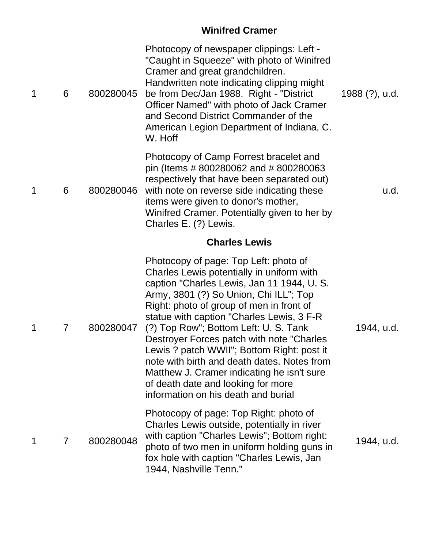# **Winifred Cramer**

| 1 | 6              | 800280045 | Photocopy of newspaper clippings: Left -<br>"Caught in Squeeze" with photo of Winifred<br>Cramer and great grandchildren.<br>Handwritten note indicating clipping might<br>be from Dec/Jan 1988. Right - "District"<br>Officer Named" with photo of Jack Cramer<br>and Second District Commander of the<br>American Legion Department of Indiana, C.<br>W. Hoff                                                                                                                                                                                                                    | 1988 (?), u.d. |
|---|----------------|-----------|------------------------------------------------------------------------------------------------------------------------------------------------------------------------------------------------------------------------------------------------------------------------------------------------------------------------------------------------------------------------------------------------------------------------------------------------------------------------------------------------------------------------------------------------------------------------------------|----------------|
| 1 | 6              | 800280046 | Photocopy of Camp Forrest bracelet and<br>pin (Items # 800280062 and # 800280063<br>respectively that have been separated out)<br>with note on reverse side indicating these<br>items were given to donor's mother,<br>Winifred Cramer. Potentially given to her by<br>Charles E. (?) Lewis.                                                                                                                                                                                                                                                                                       | u.d.           |
|   |                |           | <b>Charles Lewis</b>                                                                                                                                                                                                                                                                                                                                                                                                                                                                                                                                                               |                |
| 1 | $\overline{7}$ | 800280047 | Photocopy of page: Top Left: photo of<br>Charles Lewis potentially in uniform with<br>caption "Charles Lewis, Jan 11 1944, U. S.<br>Army, 3801 (?) So Union, Chi ILL"; Top<br>Right: photo of group of men in front of<br>statue with caption "Charles Lewis, 3 F-R<br>(?) Top Row"; Bottom Left: U. S. Tank<br>Destroyer Forces patch with note "Charles"<br>Lewis ? patch WWII"; Bottom Right: post it<br>note with birth and death dates. Notes from<br>Matthew J. Cramer indicating he isn't sure<br>of death date and looking for more<br>information on his death and burial | 1944, u.d.     |
| 1 | 7              | 800280048 | Photocopy of page: Top Right: photo of<br>Charles Lewis outside, potentially in river<br>with caption "Charles Lewis"; Bottom right:<br>photo of two men in uniform holding guns in<br>fox hole with caption "Charles Lewis, Jan<br>1944, Nashville Tenn."                                                                                                                                                                                                                                                                                                                         | 1944, u.d.     |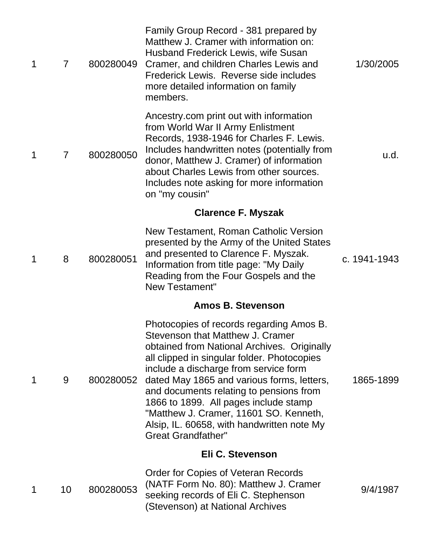| $\mathbf 1$ | $\overline{7}$ | 800280049 | Family Group Record - 381 prepared by<br>Matthew J. Cramer with information on:<br>Husband Frederick Lewis, wife Susan<br>Cramer, and children Charles Lewis and<br>Frederick Lewis. Reverse side includes<br>more detailed information on family<br>members.                                                                                                                                                                                                              | 1/30/2005    |
|-------------|----------------|-----------|----------------------------------------------------------------------------------------------------------------------------------------------------------------------------------------------------------------------------------------------------------------------------------------------------------------------------------------------------------------------------------------------------------------------------------------------------------------------------|--------------|
| $\mathbf 1$ | $\overline{7}$ | 800280050 | Ancestry.com print out with information<br>from World War II Army Enlistment<br>Records, 1938-1946 for Charles F. Lewis.<br>Includes handwritten notes (potentially from<br>donor, Matthew J. Cramer) of information<br>about Charles Lewis from other sources.<br>Includes note asking for more information<br>on "my cousin"                                                                                                                                             | u.d.         |
|             |                |           | <b>Clarence F. Myszak</b>                                                                                                                                                                                                                                                                                                                                                                                                                                                  |              |
| 1           | 8              | 800280051 | New Testament, Roman Catholic Version<br>presented by the Army of the United States<br>and presented to Clarence F. Myszak.<br>Information from title page: "My Daily<br>Reading from the Four Gospels and the<br>New Testament"                                                                                                                                                                                                                                           | c. 1941-1943 |
|             |                |           | <b>Amos B. Stevenson</b>                                                                                                                                                                                                                                                                                                                                                                                                                                                   |              |
| 1           | 9              | 800280052 | Photocopies of records regarding Amos B.<br>Stevenson that Matthew J. Cramer<br>obtained from National Archives. Originally<br>all clipped in singular folder. Photocopies<br>include a discharge from service form<br>dated May 1865 and various forms, letters,<br>and documents relating to pensions from<br>1866 to 1899. All pages include stamp<br>"Matthew J. Cramer, 11601 SO. Kenneth,<br>Alsip, IL. 60658, with handwritten note My<br><b>Great Grandfather"</b> | 1865-1899    |
|             |                |           | Eli C. Stevenson                                                                                                                                                                                                                                                                                                                                                                                                                                                           |              |
| 1           | 10             | 800280053 | Order for Copies of Veteran Records<br>(NATF Form No. 80): Matthew J. Cramer<br>seeking records of Eli C. Stephenson<br>(Stevenson) at National Archives                                                                                                                                                                                                                                                                                                                   | 9/4/1987     |